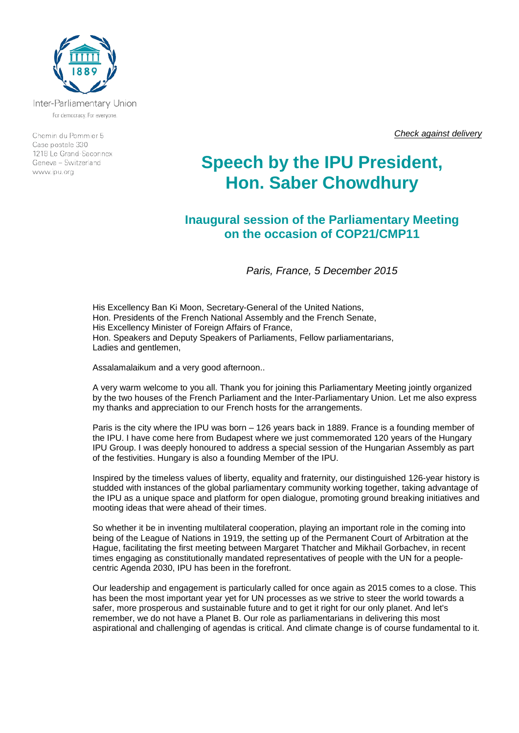

Inter-Parliamentary Union For democracy. For everyone.

Chemin du Pommier 5 Case postale 330 1218 Le Grand-Saconnex Geneva - Switzerland www.ipu.org

*Check against delivery*

## **Speech by the IPU President, Hon. Saber Chowdhury**

**Inaugural session of the Parliamentary Meeting on the occasion of COP21/CMP11**

*Paris, France, 5 December 2015*

His Excellency Ban Ki Moon, Secretary-General of the United Nations, Hon. Presidents of the French National Assembly and the French Senate, His Excellency Minister of Foreign Affairs of France, Hon. Speakers and Deputy Speakers of Parliaments, Fellow parliamentarians, Ladies and gentlemen,

Assalamalaikum and a very good afternoon..

A very warm welcome to you all. Thank you for joining this Parliamentary Meeting jointly organized by the two houses of the French Parliament and the Inter-Parliamentary Union. Let me also express my thanks and appreciation to our French hosts for the arrangements.

Paris is the city where the IPU was born – 126 years back in 1889. France is a founding member of the IPU. I have come here from Budapest where we just commemorated 120 years of the Hungary IPU Group. I was deeply honoured to address a special session of the Hungarian Assembly as part of the festivities. Hungary is also a founding Member of the IPU.

Inspired by the timeless values of liberty, equality and fraternity, our distinguished 126-year history is studded with instances of the global parliamentary community working together, taking advantage of the IPU as a unique space and platform for open dialogue, promoting ground breaking initiatives and mooting ideas that were ahead of their times.

So whether it be in inventing multilateral cooperation, playing an important role in the coming into being of the League of Nations in 1919, the setting up of the Permanent Court of Arbitration at the Hague, facilitating the first meeting between Margaret Thatcher and Mikhail Gorbachev, in recent times engaging as constitutionally mandated representatives of people with the UN for a peoplecentric Agenda 2030, IPU has been in the forefront.

Our leadership and engagement is particularly called for once again as 2015 comes to a close. This has been the most important year yet for UN processes as we strive to steer the world towards a safer, more prosperous and sustainable future and to get it right for our only planet. And let's remember, we do not have a Planet B. Our role as parliamentarians in delivering this most aspirational and challenging of agendas is critical. And climate change is of course fundamental to it.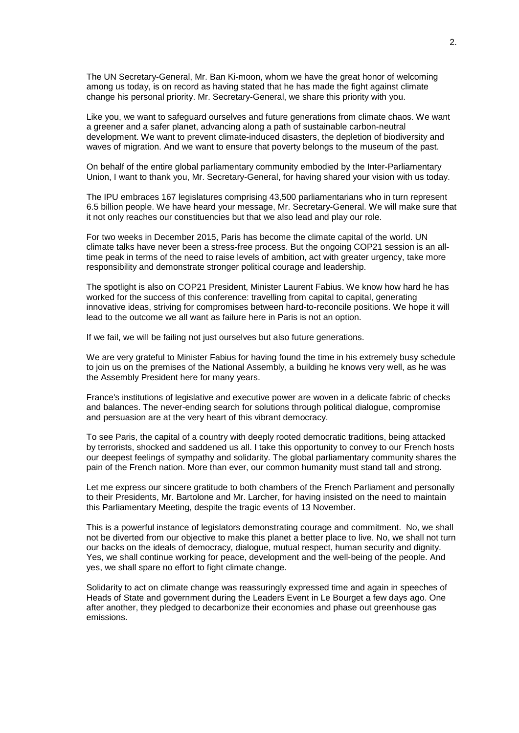The UN Secretary-General, Mr. Ban Ki-moon, whom we have the great honor of welcoming among us today, is on record as having stated that he has made the fight against climate change his personal priority. Mr. Secretary-General, we share this priority with you.

Like you, we want to safeguard ourselves and future generations from climate chaos. We want a greener and a safer planet, advancing along a path of sustainable carbon-neutral development. We want to prevent climate-induced disasters, the depletion of biodiversity and waves of migration. And we want to ensure that poverty belongs to the museum of the past.

On behalf of the entire global parliamentary community embodied by the Inter-Parliamentary Union, I want to thank you, Mr. Secretary-General, for having shared your vision with us today.

The IPU embraces 167 legislatures comprising 43,500 parliamentarians who in turn represent 6.5 billion people. We have heard your message, Mr. Secretary-General. We will make sure that it not only reaches our constituencies but that we also lead and play our role.

For two weeks in December 2015, Paris has become the climate capital of the world. UN climate talks have never been a stress-free process. But the ongoing COP21 session is an alltime peak in terms of the need to raise levels of ambition, act with greater urgency, take more responsibility and demonstrate stronger political courage and leadership.

The spotlight is also on COP21 President, Minister Laurent Fabius. We know how hard he has worked for the success of this conference: travelling from capital to capital, generating innovative ideas, striving for compromises between hard-to-reconcile positions. We hope it will lead to the outcome we all want as failure here in Paris is not an option.

If we fail, we will be failing not just ourselves but also future generations.

We are very grateful to Minister Fabius for having found the time in his extremely busy schedule to join us on the premises of the National Assembly, a building he knows very well, as he was the Assembly President here for many years.

France's institutions of legislative and executive power are woven in a delicate fabric of checks and balances. The never-ending search for solutions through political dialogue, compromise and persuasion are at the very heart of this vibrant democracy.

To see Paris, the capital of a country with deeply rooted democratic traditions, being attacked by terrorists, shocked and saddened us all. I take this opportunity to convey to our French hosts our deepest feelings of sympathy and solidarity. The global parliamentary community shares the pain of the French nation. More than ever, our common humanity must stand tall and strong.

Let me express our sincere gratitude to both chambers of the French Parliament and personally to their Presidents, Mr. Bartolone and Mr. Larcher, for having insisted on the need to maintain this Parliamentary Meeting, despite the tragic events of 13 November.

This is a powerful instance of legislators demonstrating courage and commitment. No, we shall not be diverted from our objective to make this planet a better place to live. No, we shall not turn our backs on the ideals of democracy, dialogue, mutual respect, human security and dignity. Yes, we shall continue working for peace, development and the well-being of the people. And yes, we shall spare no effort to fight climate change.

Solidarity to act on climate change was reassuringly expressed time and again in speeches of Heads of State and government during the Leaders Event in Le Bourget a few days ago. One after another, they pledged to decarbonize their economies and phase out greenhouse gas emissions.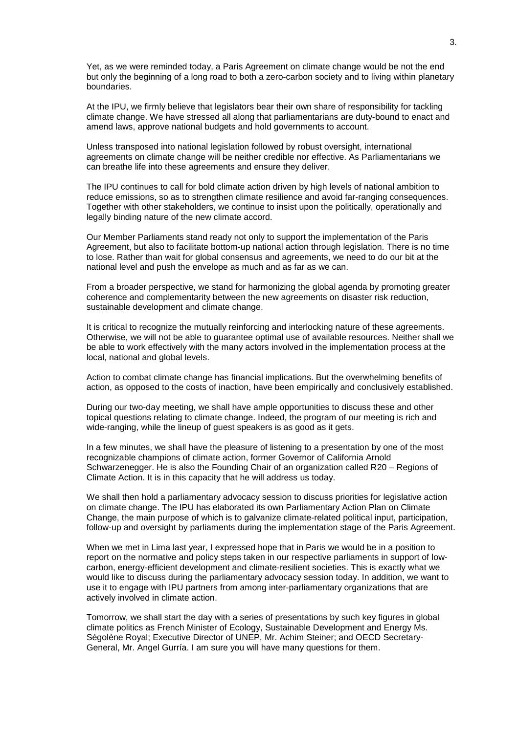Yet, as we were reminded today, a Paris Agreement on climate change would be not the end but only the beginning of a long road to both a zero-carbon society and to living within planetary boundaries.

At the IPU, we firmly believe that legislators bear their own share of responsibility for tackling climate change. We have stressed all along that parliamentarians are duty-bound to enact and amend laws, approve national budgets and hold governments to account.

Unless transposed into national legislation followed by robust oversight, international agreements on climate change will be neither credible nor effective. As Parliamentarians we can breathe life into these agreements and ensure they deliver.

The IPU continues to call for bold climate action driven by high levels of national ambition to reduce emissions, so as to strengthen climate resilience and avoid far-ranging consequences. Together with other stakeholders, we continue to insist upon the politically, operationally and legally binding nature of the new climate accord.

Our Member Parliaments stand ready not only to support the implementation of the Paris Agreement, but also to facilitate bottom-up national action through legislation. There is no time to lose. Rather than wait for global consensus and agreements, we need to do our bit at the national level and push the envelope as much and as far as we can.

From a broader perspective, we stand for harmonizing the global agenda by promoting greater coherence and complementarity between the new agreements on disaster risk reduction, sustainable development and climate change.

It is critical to recognize the mutually reinforcing and interlocking nature of these agreements. Otherwise, we will not be able to guarantee optimal use of available resources. Neither shall we be able to work effectively with the many actors involved in the implementation process at the local, national and global levels.

Action to combat climate change has financial implications. But the overwhelming benefits of action, as opposed to the costs of inaction, have been empirically and conclusively established.

During our two-day meeting, we shall have ample opportunities to discuss these and other topical questions relating to climate change. Indeed, the program of our meeting is rich and wide-ranging, while the lineup of quest speakers is as good as it gets.

In a few minutes, we shall have the pleasure of listening to a presentation by one of the most recognizable champions of climate action, former Governor of California Arnold Schwarzenegger. He is also the Founding Chair of an organization called R20 – Regions of Climate Action. It is in this capacity that he will address us today.

We shall then hold a parliamentary advocacy session to discuss priorities for legislative action on climate change. The IPU has elaborated its own Parliamentary Action Plan on Climate Change, the main purpose of which is to galvanize climate-related political input, participation, follow-up and oversight by parliaments during the implementation stage of the Paris Agreement.

When we met in Lima last year, I expressed hope that in Paris we would be in a position to report on the normative and policy steps taken in our respective parliaments in support of lowcarbon, energy-efficient development and climate-resilient societies. This is exactly what we would like to discuss during the parliamentary advocacy session today. In addition, we want to use it to engage with IPU partners from among inter-parliamentary organizations that are actively involved in climate action.

Tomorrow, we shall start the day with a series of presentations by such key figures in global climate politics as French Minister of Ecology, Sustainable Development and Energy Ms. Ségolène Royal; Executive Director of UNEP, Mr. Achim Steiner; and OECD Secretary-General, Mr. Angel Gurría. I am sure you will have many questions for them.